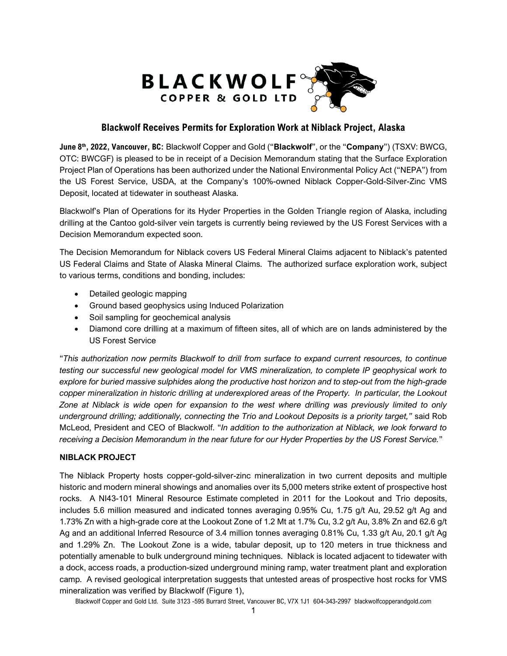

# **Blackwolf Receives Permits for Exploration Work at Niblack Project, Alaska**

**June 8th, 2022, Vancouver, BC:** Blackwolf Copper and Gold ("**Blackwolf**", or the "**Company**") (TSXV: BWCG, OTC: BWCGF) is pleased to be in receipt of a Decision Memorandum stating that the Surface Exploration Project Plan of Operations has been authorized under the National Environmental Policy Act ("NEPA") from the US Forest Service, USDA, at the Company's 100%-owned Niblack Copper-Gold-Silver-Zinc VMS Deposit, located at tidewater in southeast Alaska.

Blackwolf's Plan of Operations for its Hyder Properties in the Golden Triangle region of Alaska, including drilling at the Cantoo gold-silver vein targets is currently being reviewed by the US Forest Services with a Decision Memorandum expected soon.

The Decision Memorandum for Niblack covers US Federal Mineral Claims adjacent to Niblack's patented US Federal Claims and State of Alaska Mineral Claims. The authorized surface exploration work, subject to various terms, conditions and bonding, includes:

- Detailed geologic mapping
- Ground based geophysics using Induced Polarization
- Soil sampling for geochemical analysis
- Diamond core drilling at a maximum of fifteen sites, all of which are on lands administered by the US Forest Service

"*This authorization now permits Blackwolf to drill from surface to expand current resources, to continue testing our successful new geological model for VMS mineralization, to complete IP geophysical work to explore for buried massive sulphides along the productive host horizon and to step-out from the high-grade copper mineralization in historic drilling at underexplored areas of the Property. In particular, the Lookout Zone at Niblack is wide open for expansion to the west where drilling was previously limited to only underground drilling; additionally, connecting the Trio and Lookout Deposits is a priority target,"* said Rob McLeod, President and CEO of Blackwolf. "*In addition to the authorization at Niblack, we look forward to receiving a Decision Memorandum in the near future for our Hyder Properties by the US Forest Service.*"

## **NIBLACK PROJECT**

The Niblack Property hosts copper-gold-silver-zinc mineralization in two current deposits and multiple historic and modern mineral showings and anomalies over its 5,000 meters strike extent of prospective host rocks. A NI43-101 Mineral Resource Estimate completed in 2011 for the Lookout and Trio deposits, includes 5.6 million measured and indicated tonnes averaging 0.95% Cu, 1.75 g/t Au, 29.52 g/t Ag and 1.73% Zn with a high-grade core at the Lookout Zone of 1.2 Mt at 1.7% Cu, 3.2 g/t Au, 3.8% Zn and 62.6 g/t Ag and an additional Inferred Resource of 3.4 million tonnes averaging 0.81% Cu, 1.33 g/t Au, 20.1 g/t Ag and 1.29% Zn. The Lookout Zone is a wide, tabular deposit, up to 120 meters in true thickness and potentially amenable to bulk underground mining techniques. Niblack is located adjacent to tidewater with a dock, access roads, a production-sized underground mining ramp, water treatment plant and exploration camp. A revised geological interpretation suggests that untested areas of prospective host rocks for VMS mineralization was verified by Blackwolf (Figure 1),

Blackwolf Copper and Gold Ltd. Suite 3123 -595 Burrard Street, Vancouver BC, V7X 1J1 604-343-2997 blackwolfcopperandgold.com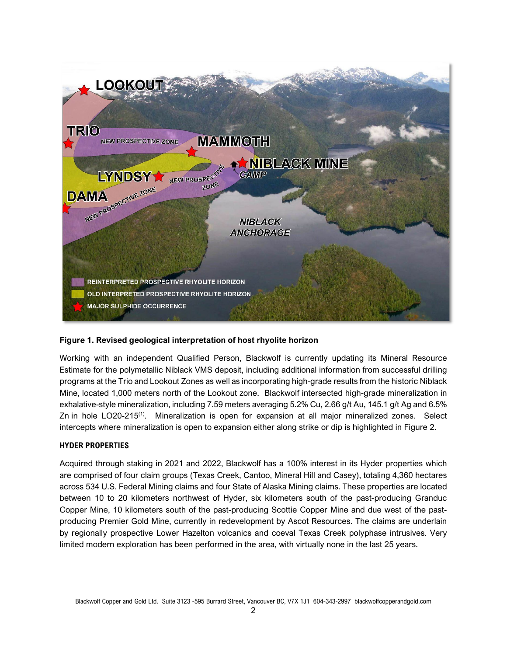

## **Figure 1. Revised geological interpretation of host rhyolite horizon**

Working with an independent Qualified Person, Blackwolf is currently updating its Mineral Resource Estimate for the polymetallic Niblack VMS deposit, including additional information from successful drilling programs at the Trio and Lookout Zones as well as incorporating high-grade results from the historic Niblack Mine, located 1,000 meters north of the Lookout zone. Blackwolf intersected high-grade mineralization in exhalative-style mineralization, including 7.59 meters averaging 5.2% Cu, 2.66 g/t Au, 145.1 g/t Ag and 6.5% Zn in hole LO20-215<sup>(1)</sup>. Mineralization is open for expansion at all major mineralized zones. Select intercepts where mineralization is open to expansion either along strike or dip is highlighted in Figure 2.

### **HYDER PROPERTIES**

Acquired through staking in 2021 and 2022, Blackwolf has a 100% interest in its Hyder properties which are comprised of four claim groups (Texas Creek, Cantoo, Mineral Hill and Casey), totaling 4,360 hectares across 534 U.S. Federal Mining claims and four State of Alaska Mining claims. These properties are located between 10 to 20 kilometers northwest of Hyder, six kilometers south of the past-producing Granduc Copper Mine, 10 kilometers south of the past-producing Scottie Copper Mine and due west of the pastproducing Premier Gold Mine, currently in redevelopment by Ascot Resources. The claims are underlain by regionally prospective Lower Hazelton volcanics and coeval Texas Creek polyphase intrusives. Very limited modern exploration has been performed in the area, with virtually none in the last 25 years.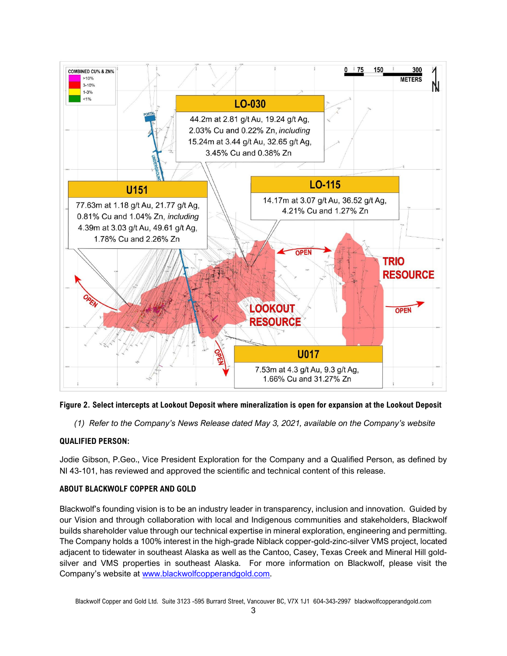

### **Figure 2. Select intercepts at Lookout Deposit where mineralization is open for expansion at the Lookout Deposit**

*(1) Refer to the Company's News Release dated May 3, 2021, available on the Company's website*

### **QUALIFIED PERSON:**

Jodie Gibson, P.Geo., Vice President Exploration for the Company and a Qualified Person, as defined by NI 43-101, has reviewed and approved the scientific and technical content of this release.

### **ABOUT BLACKWOLF COPPER AND GOLD**

Blackwolf's founding vision is to be an industry leader in transparency, inclusion and innovation. Guided by our Vision and through collaboration with local and Indigenous communities and stakeholders, Blackwolf builds shareholder value through our technical expertise in mineral exploration, engineering and permitting. The Company holds a 100% interest in the high-grade Niblack copper-gold-zinc-silver VMS project, located adjacent to tidewater in southeast Alaska as well as the Cantoo, Casey, Texas Creek and Mineral Hill goldsilver and VMS properties in southeast Alaska. For more information on Blackwolf, please visit the Company's website at [www.blackwolfcopperandgold.com.](http://www.blackwolfcopperandgold.com/)